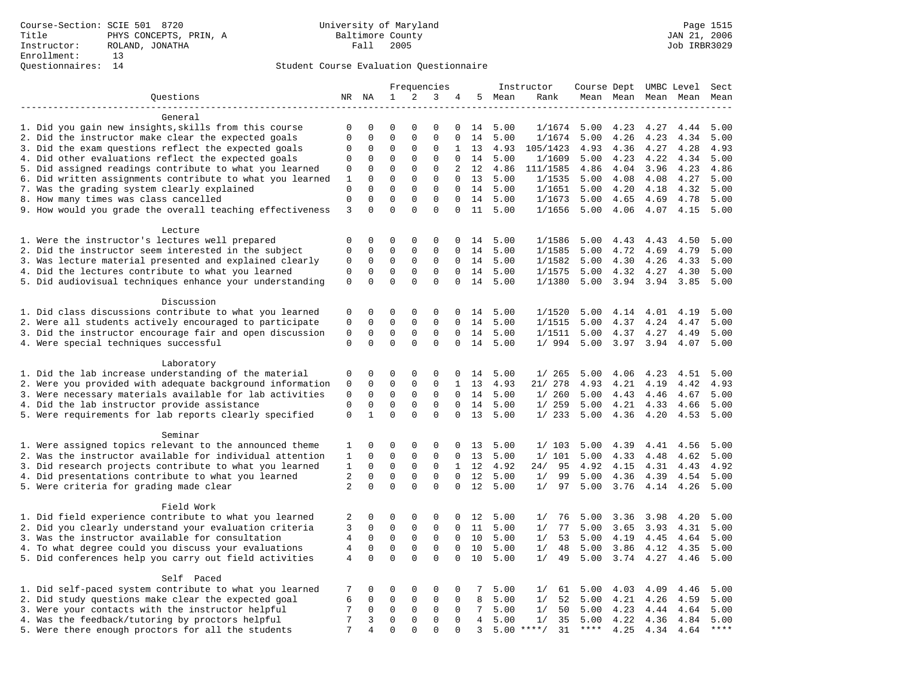## Student Course Evaluation Questionnaire

|                                                                                                          |                  |                      |                            | Frequencies          |                            |                      | Instructor      |              | Course Dept UMBC Level |              |                     |              | Sect         |              |
|----------------------------------------------------------------------------------------------------------|------------------|----------------------|----------------------------|----------------------|----------------------------|----------------------|-----------------|--------------|------------------------|--------------|---------------------|--------------|--------------|--------------|
| Questions                                                                                                |                  | NR NA                | $\mathbf{1}$               | 2                    | 3                          | 4                    |                 | 5 Mean       | Rank                   |              | Mean Mean Mean Mean |              |              | Mean         |
| --------------------                                                                                     |                  |                      |                            |                      |                            |                      |                 |              |                        |              |                     |              |              |              |
| General                                                                                                  |                  |                      |                            |                      |                            |                      |                 |              |                        |              |                     |              |              |              |
| 1. Did you gain new insights, skills from this course                                                    | 0                | 0                    | $\Omega$                   | $\Omega$             | $\Omega$                   | 0                    | 14              | 5.00         | 1/1674                 | 5.00         | 4.23                | 4.27         | 4.44         | 5.00         |
| 2. Did the instructor make clear the expected goals                                                      | $\mathbf 0$      | $\mathbf 0$          | $\mathbf 0$                | $\mathbf{0}$         | $\mathbf 0$                | $\Omega$             | 14              | 5.00         | 1/1674                 | 5.00         | 4.26                | 4.23         | 4.34         | 5.00         |
| 3. Did the exam questions reflect the expected goals                                                     | $\Omega$         | $\Omega$             | $\Omega$                   | $\Omega$             | $\Omega$                   | $\mathbf{1}$         | 13              | 4.93         | 105/1423               | 4.93         | 4.36                | 4.27         | 4.28         | 4.93         |
| 4. Did other evaluations reflect the expected goals                                                      | 0                | $\mathbf 0$          | $\mathbf 0$                | $\mathbf{0}$         | $\mathbf 0$                | $\mathbf 0$          |                 | 14 5.00      | 1/1609                 | 5.00         | 4.23                | 4.22         | 4.34         | 5.00         |
| 5. Did assigned readings contribute to what you learned                                                  | 0                | 0                    | $\mathbf 0$                | $\mathbf 0$          | $\mathbf 0$                | 2                    | 12              | 4.86         | 111/1585               | 4.86         | 4.04                | 3.96         | 4.23         | 4.86         |
| 6. Did written assignments contribute to what you learned                                                | 1                | $\mathbf 0$          | $\mathbf 0$                | $\mathbf 0$          | $\mathbf 0$                | 0                    | 13              | 5.00         | 1/1535                 | 5.00         | 4.08                | 4.08         | 4.27         | 5.00         |
| 7. Was the grading system clearly explained                                                              | 0<br>$\mathbf 0$ | $\Omega$<br>$\Omega$ | $\Omega$<br>$\Omega$       | $\Omega$<br>$\Omega$ | $\mathbf 0$<br>$\Omega$    | $\Omega$<br>$\Omega$ |                 | 14 5.00      | 1/1651                 | 5.00         | 4.20                | 4.18         | 4.32         | 5.00         |
| 8. How many times was class cancelled                                                                    | 3                | $\Omega$             | $\Omega$                   | $\Omega$             | $\Omega$                   | $\Omega$             | 14<br>11        | 5.00<br>5.00 | 1/1673<br>1/1656       | 5.00<br>5.00 | 4.65                | 4.69         | 4.78<br>4.15 | 5.00<br>5.00 |
| 9. How would you grade the overall teaching effectiveness                                                |                  |                      |                            |                      |                            |                      |                 |              |                        |              | 4.06                | 4.07         |              |              |
| Lecture                                                                                                  |                  |                      |                            |                      |                            |                      |                 |              |                        |              |                     |              |              |              |
| 1. Were the instructor's lectures well prepared                                                          | 0                | 0                    | $\Omega$                   | 0                    | $\mathbf 0$                |                      | $0 \t14$        | 5.00         | 1/1586                 | 5.00         | 4.43                | 4.43         | 4.50         | 5.00         |
| 2. Did the instructor seem interested in the subject                                                     | $\mathbf 0$      | $\mathbf 0$          | $\mathbf 0$                | $\mathbf{0}$         | $\mathbf 0$                | $\Omega$             | 14              | 5.00         | 1/1585                 | 5.00         | 4.72                | 4.69         | 4.79         | 5.00         |
| 3. Was lecture material presented and explained clearly                                                  | $\mathsf 0$      | $\mathbf 0$          | $\mathbf 0$                | $\mathsf 0$          | $\mathbf 0$                | $\Omega$             | 14              | 5.00         | 1/1582                 | 5.00         | 4.30                | 4.26         | 4.33         | 5.00         |
| 4. Did the lectures contribute to what you learned                                                       | $\mathbf 0$      | $\mathbf 0$          | $\mathbf 0$                | $\mathbf{0}$         | $\mathbf 0$                | $\mathbf 0$          |                 | 14 5.00      | 1/1575                 | 5.00         | 4.32                | 4.27         | 4.30         | 5.00         |
| 5. Did audiovisual techniques enhance your understanding                                                 | $\mathbf 0$      | $\mathbf 0$          | $\mathbf 0$                | $\Omega$             | $\Omega$                   | 0                    | 14              | 5.00         | 1/1380                 | 5.00         | 3.94                | 3.94         | 3.85         | 5.00         |
|                                                                                                          |                  |                      |                            |                      |                            |                      |                 |              |                        |              |                     |              |              |              |
| Discussion                                                                                               |                  |                      |                            |                      |                            |                      |                 |              |                        |              |                     |              |              |              |
| 1. Did class discussions contribute to what you learned                                                  | 0                | 0                    | 0                          | $\mathbf 0$          | $\mathbf 0$                | $\Omega$             |                 | 14 5.00      | 1/1520                 | 5.00         | 4.14                | 4.01         | 4.19         | 5.00         |
| 2. Were all students actively encouraged to participate                                                  | $\mathsf 0$      | $\mathbf 0$          | $\mathsf 0$                | $\mathbf 0$          | $\mathbf 0$                | $\mathbf 0$          | 14              | 5.00         | 1/1515                 | 5.00         | 4.37                | 4.24         | 4.47         | 5.00         |
| 3. Did the instructor encourage fair and open discussion                                                 | $\mathsf 0$      | $\mathbf 0$          | $\mathsf 0$                | $\mathbf 0$          | $\mathbf 0$                | 0                    | 14              | 5.00         | 1/1511                 | 5.00         | 4.37                | 4.27         | 4.49         | 5.00         |
| 4. Were special techniques successful                                                                    | $\mathbf 0$      | $\Omega$             | $\Omega$                   | $\Omega$             | $\mathbf 0$                | 0                    |                 | 14 5.00      | 1/994                  | 5.00         | 3.97                | 3.94         | 4.07         | 5.00         |
|                                                                                                          |                  |                      |                            |                      |                            |                      |                 |              |                        |              |                     |              |              |              |
| Laboratory                                                                                               |                  |                      |                            |                      |                            |                      |                 |              |                        |              |                     |              |              |              |
| 1. Did the lab increase understanding of the material                                                    | 0                | 0                    | 0                          | 0                    | 0                          | 0                    | 14              | 5.00         | 1/265                  | 5.00         | 4.06                | 4.23         | 4.51         | 5.00         |
| 2. Were you provided with adequate background information                                                | $\mathsf 0$      | $\mathbf 0$          | $\mathbf 0$                | $\mathbf{0}$         | $\mathbf 0$                | $\mathbf{1}$         | 13              | 4.93         | 21/ 278                | 4.93         | 4.21                | 4.19         | 4.42         | 4.93         |
| 3. Were necessary materials available for lab activities                                                 | 0                | $\mathbf 0$          | 0                          | 0                    | 0                          | 0                    |                 | 14 5.00      | 1/260                  | 5.00         | 4.43                | 4.46         | 4.67         | 5.00         |
| 4. Did the lab instructor provide assistance                                                             | $\mathbf 0$      | $\mathbf 0$          | $\mathbf 0$                | $\mathbf{0}$         | $\mathbf 0$                | $\Omega$             | 14              | 5.00         | 1/259                  | 5.00         | 4.21                | 4.33         | 4.66         | 5.00         |
| 5. Were requirements for lab reports clearly specified                                                   | $\mathbf 0$      | $\mathbf{1}$         | $\Omega$                   | $\Omega$             | $\Omega$                   | $\Omega$             | 13              | 5.00         | 1/233                  | 5.00         | 4.36                | 4.20         | 4.53         | 5.00         |
| Seminar                                                                                                  |                  |                      |                            |                      |                            |                      |                 |              |                        |              |                     |              |              |              |
| 1. Were assigned topics relevant to the announced theme                                                  | 1                | $\mathsf 0$          | $\mathbf 0$                | $\mathbf 0$          | $\mathbf 0$                | 0                    | 13              | 5.00         | 1/103                  | 5.00         | 4.39                | 4.41         | 4.56         | 5.00         |
| 2. Was the instructor available for individual attention                                                 | 1                | 0                    | 0                          | 0                    | 0                          | $\mathbf 0$          | 13              | 5.00         | 1/101                  | 5.00         | 4.33                | 4.48         | 4.62         | 5.00         |
| 3. Did research projects contribute to what you learned                                                  | 1                | $\mathbf 0$          | $\mathbf 0$                | $\mathbf 0$          | $\mathbf 0$                |                      | 1 12            | 4.92         | 95<br>24/              | 4.92         | 4.15                | 4.31         | 4.43         | 4.92         |
| 4. Did presentations contribute to what you learned                                                      | 2                | $\Omega$             | $\mathbf 0$                | $\Omega$             | $\mathbf 0$                | $\Omega$             | 12              | 5.00         | 99<br>1/               | 5.00         | 4.36                | 4.39         | 4.54         | 5.00         |
| 5. Were criteria for grading made clear                                                                  | $\overline{2}$   | $\Omega$             | $\Omega$                   | $\Omega$             | $\Omega$                   | $\Omega$             | 12              | 5.00         | 1/<br>97               | 5.00         | 3.76                | 4.14         | 4.26         | 5.00         |
|                                                                                                          |                  |                      |                            |                      |                            |                      |                 |              |                        |              |                     |              |              |              |
| Field Work                                                                                               |                  |                      |                            |                      |                            |                      |                 |              |                        |              |                     |              |              |              |
| 1. Did field experience contribute to what you learned                                                   | 2                | 0                    | 0                          | 0                    | 0                          | 0                    | 12              | 5.00         | 1/<br>76               | 5.00         | 3.36                | 3.98         | 4.20         | 5.00         |
| 2. Did you clearly understand your evaluation criteria                                                   | 3                | $\mathbf 0$          | $\mathbf 0$                | $\mathbf 0$          | $\mathbf 0$                | $\Omega$             | 11              | 5.00         | 77<br>1/               | 5.00         | 3.65                | 3.93         | 4.31         | 5.00         |
| 3. Was the instructor available for consultation                                                         | 4                | $\mathbf 0$          | $\mathbf 0$                | $\mathbf 0$          | $\mathbf 0$                | $\mathbf{0}$         | 10              | 5.00         | 53<br>1/               | 5.00         | 4.19                | 4.45         | 4.64         | 5.00         |
| 4. To what degree could you discuss your evaluations                                                     | $\overline{4}$   | $\mathbf 0$          | $\mathsf 0$                | $\mathbf{0}$         | $\mathbf 0$                | $\mathbf 0$          | 10              | 5.00         | 48<br>1/               | 5.00         | 3.86                | 4.12         | 4.35         | 5.00         |
| 5. Did conferences help you carry out field activities                                                   | $\overline{4}$   | $\mathbf 0$          | $\mathbf 0$                | $\Omega$             | $\Omega$                   | $\mathbf 0$          | 10              | 5.00         | 49<br>1/               | 5.00         | 3.74                | 4.27         | 4.46         | 5.00         |
|                                                                                                          |                  |                      |                            |                      |                            |                      |                 |              |                        |              |                     |              |              |              |
| Self Paced                                                                                               |                  |                      |                            |                      |                            |                      |                 |              |                        |              |                     |              |              |              |
| 1. Did self-paced system contribute to what you learned                                                  | 7                | 0                    | 0                          | 0                    | $\mathbf 0$                | 0<br>$\Omega$        | 7<br>8          | 5.00         | 61<br>1/               | 5.00         | 4.03                | 4.09         | 4.46         | 5.00         |
| 2. Did study questions make clear the expected goal<br>3. Were your contacts with the instructor helpful | 6<br>7           | 0<br>$\mathsf{O}$    | $\mathbf 0$<br>$\mathbf 0$ | 0<br>$\mathbf 0$     | $\mathbf 0$<br>$\mathbf 0$ | $\mathbf 0$          | $7\phantom{.0}$ | 5.00<br>5.00 | 1/<br>52<br>50<br>1/   | 5.00<br>5.00 | 4.21<br>4.23        | 4.26<br>4.44 | 4.59<br>4.64 | 5.00<br>5.00 |
| 4. Was the feedback/tutoring by proctors helpful                                                         | 7                | 3                    | $\mathsf 0$                | 0                    | $\mathbf 0$                | 0                    | $4\overline{ }$ | 5.00         | 1/<br>35               | 5.00         | 4.22                | 4.36         | 4.84         | 5.00         |
| 5. Were there enough proctors for all the students                                                       | 7                | 4                    | $\mathbf 0$                | $\Omega$             | $\Omega$                   | $\Omega$             | 3               |              | $5.00$ ****/<br>31     | ****         | 4.25                | 4.34         | 4.64         | $***$        |
|                                                                                                          |                  |                      |                            |                      |                            |                      |                 |              |                        |              |                     |              |              |              |